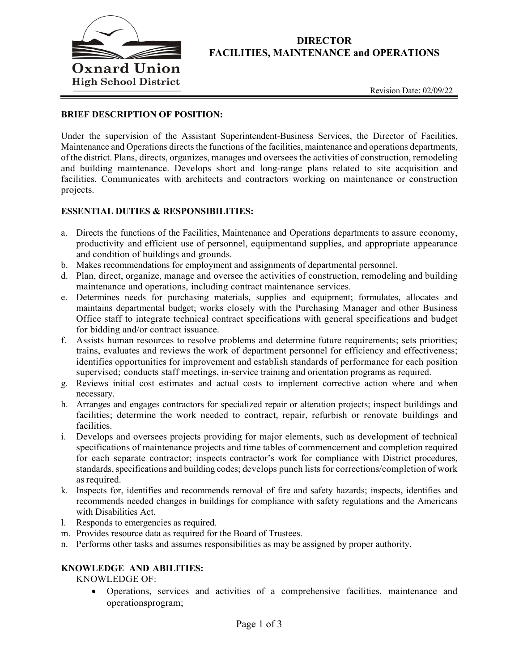

# **DIRECTOR FACILITIES, MAINTENANCE and OPERATIONS**

### **BRIEF DESCRIPTION OF POSITION:**

Under the supervision of the Assistant Superintendent-Business Services, the Director of Facilities, Maintenance and Operations directs the functions of the facilities, maintenance and operations departments, of the district. Plans, directs, organizes, manages and oversees the activities of construction, remodeling and building maintenance. Develops short and long-range plans related to site acquisition and facilities. Communicates with architects and contractors working on maintenance or construction projects.

#### **ESSENTIAL DUTIES & RESPONSIBILITIES:**

- a. Directs the functions of the Facilities, Maintenance and Operations departments to assure economy, productivity and efficient use of personnel, equipmentand supplies, and appropriate appearance and condition of buildings and grounds.
- b. Makes recommendations for employment and assignments of departmental personnel.
- d. Plan, direct, organize, manage and oversee the activities of construction, remodeling and building maintenance and operations, including contract maintenance services.
- e. Determines needs for purchasing materials, supplies and equipment; formulates, allocates and maintains departmental budget; works closely with the Purchasing Manager and other Business Office staff to integrate technical contract specifications with general specifications and budget for bidding and/or contract issuance.
- f. Assists human resources to resolve problems and determine future requirements; sets priorities; trains, evaluates and reviews the work of department personnel for efficiency and effectiveness; identifies opportunities for improvement and establish standards of performance for each position supervised; conducts staff meetings, in-service training and orientation programs as required.
- g. Reviews initial cost estimates and actual costs to implement corrective action where and when necessary.
- h. Arranges and engages contractors for specialized repair or alteration projects; inspect buildings and facilities; determine the work needed to contract, repair, refurbish or renovate buildings and facilities.
- i. Develops and oversees projects providing for major elements, such as development of technical specifications of maintenance projects and time tables of commencement and completion required for each separate contractor; inspects contractor's work for compliance with District procedures, standards, specifications and building codes; develops punch lists for corrections/completion of work as required.
- k. Inspects for, identifies and recommends removal of fire and safety hazards; inspects, identifies and recommends needed changes in buildings for compliance with safety regulations and the Americans with Disabilities Act.
- l. Responds to emergencies as required.
- m. Provides resource data as required for the Board of Trustees.
- n. Performs other tasks and assumes responsibilities as may be assigned by proper authority.

#### **KNOWLEDGE AND ABILITIES:**

KNOWLEDGE OF:

• Operations, services and activities of a comprehensive facilities, maintenance and operationsprogram;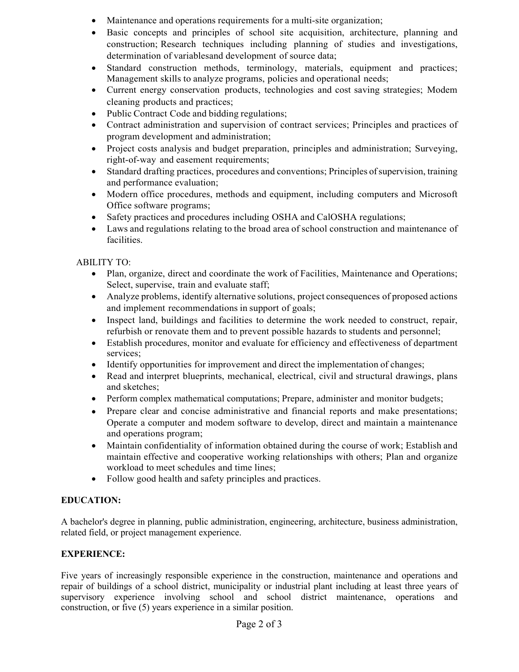- Maintenance and operations requirements for a multi-site organization;
- Basic concepts and principles of school site acquisition, architecture, planning and construction; Research techniques including planning of studies and investigations, determination of variablesand development of source data;
- Standard construction methods, terminology, materials, equipment and practices; Management skills to analyze programs, policies and operational needs;
- Current energy conservation products, technologies and cost saving strategies; Modem cleaning products and practices;
- Public Contract Code and bidding regulations;
- Contract administration and supervision of contract services; Principles and practices of program development and administration;
- Project costs analysis and budget preparation, principles and administration; Surveying, right-of-way and easement requirements;
- Standard drafting practices, procedures and conventions; Principles of supervision, training and performance evaluation;
- Modern office procedures, methods and equipment, including computers and Microsoft Office software programs;
- Safety practices and procedures including OSHA and CalOSHA regulations;
- Laws and regulations relating to the broad area of school construction and maintenance of facilities.

# ABILITY TO:

- Plan, organize, direct and coordinate the work of Facilities, Maintenance and Operations; Select, supervise, train and evaluate staff;
- Analyze problems, identify alternative solutions, project consequences of proposed actions and implement recommendations in support of goals;
- Inspect land, buildings and facilities to determine the work needed to construct, repair, refurbish or renovate them and to prevent possible hazards to students and personnel;
- Establish procedures, monitor and evaluate for efficiency and effectiveness of department services;
- Identify opportunities for improvement and direct the implementation of changes;
- Read and interpret blueprints, mechanical, electrical, civil and structural drawings, plans and sketches;
- Perform complex mathematical computations; Prepare, administer and monitor budgets;
- Prepare clear and concise administrative and financial reports and make presentations; Operate a computer and modem software to develop, direct and maintain a maintenance and operations program;
- Maintain confidentiality of information obtained during the course of work; Establish and maintain effective and cooperative working relationships with others; Plan and organize workload to meet schedules and time lines;
- Follow good health and safety principles and practices.

# **EDUCATION:**

A bachelor's degree in planning, public administration, engineering, architecture, business administration, related field, or project management experience.

# **EXPERIENCE:**

Five years of increasingly responsible experience in the construction, maintenance and operations and repair of buildings of a school district, municipality or industrial plant including at least three years of supervisory experience involving school and school district maintenance, operations and construction, or five (5) years experience in a similar position.